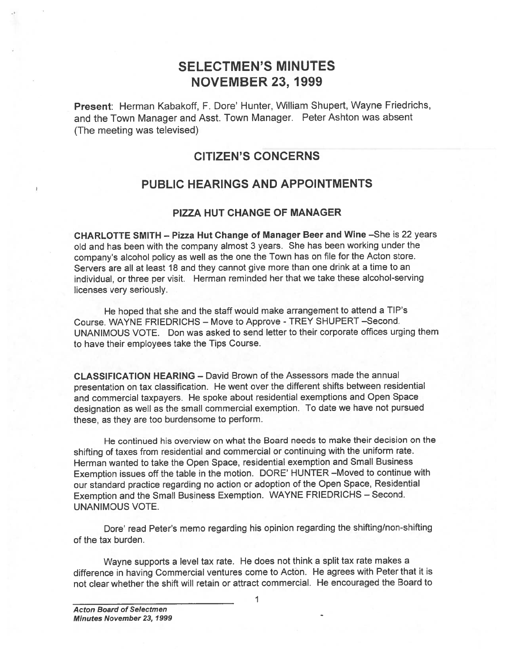# SELECTMEN'S MINUTES NOVEMBER 23, 1999

Present: Herman Kabakoff, F. Dore' Hunter, William Shupert, Wayne Friedrichs, and the Town Manager and Asst. Town Manager. Peter Ashton was absent (The meeting was televised)

# CITIZEN'S CONCERNS

## PUBLIC HEARINGS AND APPOINTMENTS

### PIZZA HUT CHANGE OF MANAGER

CHARLOTTE SMITH — Pizza Hut Change of Manager Beer and Wine —She is 22 yeats old and has been with the company almost 3 years. She has been working under the company's alcohol policy as well as the one the Town has on file for the Acton store. Servers are all at least <sup>18</sup> and they cannot <sup>g</sup>ive more than one drink at <sup>a</sup> time to an individual, or three per visit. Herman reminded her that we take these alcohol-serving licenses very seriously.

He hoped that she and the staff would make arrangemen<sup>t</sup> to attend <sup>a</sup> TIP's Course. WAYNE FRIEDRICHS — Move to Approve -TREY SHUPERT —Second. UNANIMOUS VOTE. Don was asked to send letter to their corporate offices urging them to have their employees take the Tips Course.

CLASSIFICATION HEARING — David Brown of the Assessors made the annual presentation on tax classification. He went over the different shifts between residential and commercial taxpayers. He spoke about residential exemptions and Open Space designation as well as the small commercial exemption. To date we have not pursue<sup>d</sup> these, as they are too burdensome to perform.

He continued his overview on what the Board needs to make their decision on the shifting of taxes from residential and commercial or continuing with the uniform rate. Herman wanted to take the Open Space, residential exemption and Small Business Exemption issues off the table in the motion. DORE' HUNTER —Moved to continue with our standard practice regarding no action or adoption of the Open Space, Residential Exemption and the Small Business Exemption. WAYNE FRIEDRICHS — Second. UNANIMOUS VOTE.

Dote' read Peter's memo regarding his opinion regarding the shifting/non-shifting of the tax burden.

Wayne supports <sup>a</sup> level tax rate. He does not think <sup>a</sup> split tax rate makes <sup>a</sup> difference in having Commercial ventures come to Acton. He agrees with Peter that it is not clear whether the shift will retain or attract commercial. He encouraged the Board to

1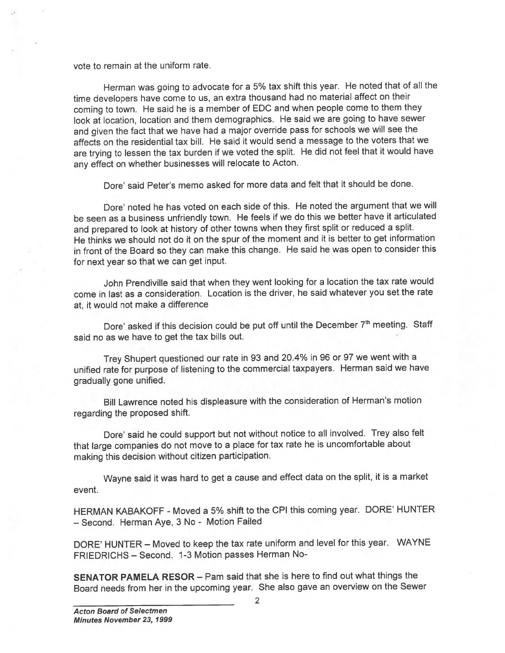vote to remain at the uniform tate.

Herman was going to advocate for <sup>a</sup> 5% tax shift this year. He noted that of all the time developers have come to us, an extra thousand had no material affect on their coming to town. He said he is <sup>a</sup> member of EDC and when people come to them they look at location, location and them demographics. He said we are going to have sewer and <sup>g</sup>iven the fact that we have had <sup>a</sup> major override pass for schools we will see the affects on the residential tax bill. He said it would send <sup>a</sup> message to the voters that we are trying to lessen the tax burden if we voted the split. He did not feel that it would have any effect on whether businesses will relocate to Acton.

Dore' said Peter's memo asked for more data and felt that it should be done.

Dore' noted he has voted on each side of this. He noted the argument that we will be seen as <sup>a</sup> business unfriendly town. He feels if we do this we better have it articulated and prepare<sup>d</sup> to look at history of other towns when they first split or reduced <sup>a</sup> split. He thinks we should not do it on the spur of the moment and it is better to ge<sup>t</sup> information in front of the Board so they can make this change. He said he was open to consider this for next year so that we can ge<sup>t</sup> input.

John Prendiville said that when they went looking for <sup>a</sup> location the tax rate would come in last as <sup>a</sup> consideration. Location is the driver, he said whatever you set the rate at, it would not make <sup>a</sup> difference

Dore' asked if this decision could be put off until the December 7<sup>th</sup> meeting. Staff said no as we have to ge<sup>t</sup> the tax bills out.

Trey Shupert questioned our rate in <sup>93</sup> and 20.4% in <sup>96</sup> or <sup>97</sup> we went with <sup>a</sup> unified rate for purpose of listening to the commercial taxpayers. Herman said we have gradually gone unified.

Bill Lawrence noted his displeasure with the consideration of Herman's motion regarding the propose<sup>d</sup> shift.

Dore' said he could support but not without notice to all involved. Trey also felt that large companies do not move to <sup>a</sup> <sup>p</sup>lace for tax rate he is uncomfortable about making this decision without citizen participation.

Wayne said it was hard to ge<sup>t</sup> <sup>a</sup> cause and effect data on the split, it is <sup>a</sup> market event.

HERMAN KABAKOFF -Moved <sup>a</sup> 5% shift to the CPI this coming year. DORE' HUNTER — Second. Herman Aye, <sup>3</sup> No - Motion Failed

DORE' HUNTER — Moved to keep the tax rate uniform and level for this year. WAYNE FRIEDRICHS — Second. 1-3 Motion passes Herman No-

SENATOR PAMELA RESOR — Pam said that she is here to find out what things the Board needs from her in the upcoming year. She also gave an overview on the Sewer

2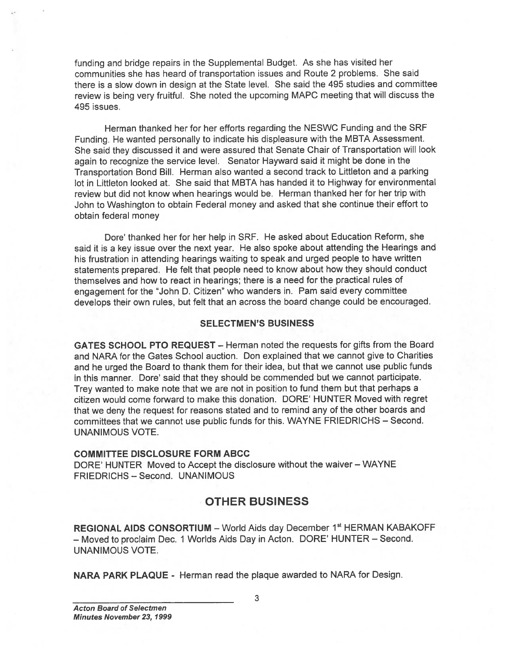funding and bridge repairs in the Supplemental Budget. As she has visited her communities she has heard of transportation issues and Route 2 problems. She said there is <sup>a</sup> slow down in design at the State level. She said the 495 studies and committee review is being very fruitful. She noted the upcoming MAPC meeting that will discuss the 495 issues.

Herman thanked her for her efforts regarding the NESWC Funding and the SRF Funding. He wanted personally to indicate his displeasure with the MBTA Assessment. She said they discussed it and were assured that Senate Chair of Transportation will look again to recognize the service level. Senator Hayward said it might be done in the Transportation Bond Bill. Herman also wanted <sup>a</sup> second track to Littleton and <sup>a</sup> parking lot in Littleton looked at. She said that MBTA has handed it to Highway for environmental review but did not know when hearings would be. Herman thanked her for her trip with John to Washington to obtain Federal money and asked that she continue their effort to obtain federal money funding and bridge repairs in the Supplemental Budget. As she has visited hermon this she has head of transportation issues and Route 2 problems. She has the she has the player she has head of transportation issues and Ro

Dore' thanked her for her help in SRF. He asked about Education Reform, she said it is <sup>a</sup> key issue over the next year. He also spoke about attending the Hearings and his frustration in attending hearings waiting to speak and urged people to have written statements prepared. He felt that people need to know about how they should conduct themselves and how to react in hearings; there is <sup>a</sup> need for the practical rules of engagemen<sup>t</sup> for the 'John D. Citizen" who wanders in. Pam said every committee develops their own rules, but felt that an across the board change could be encouraged.

#### SELECTMEN'S BUSINESS

GATES SCHOOL PTO REQUEST — Herman noted the requests for <sup>g</sup>ifts from the Board and NARA for the Gates School auction. Don explained that we cannot give to Charities and he urge<sup>d</sup> the Board to thank them for their idea, but that we cannot use public funds in this manner. Dore' said that they should be commended but we cannot participate. Trey wanted to make note that we are not in position to fund them but that perhaps <sup>a</sup> citizen would come forward to make this donation. DORE' HUNTER Moved with regre<sup>t</sup> that we deny the reques<sup>t</sup> for reasons stated and to remind any of the other boards and committees that we cannot use public funds for this. WAYNE FRIEDRICHS — Second. UNANIMOUS VOTE.

#### COMMITTEE DISCLOSURE FORM ABCC

DORE' HUNTER Moved to Accept the disclosure without the waiver — WAYNE FRIEDRICHS — Second. UNANIMOUS

# OTHER BUSINESS

REGIONAL AIDS CONSORTIUM - World Aids day December 1<sup>st</sup> HERMAN KABAKOFF — Moved to proclaim Dec. <sup>1</sup> Worlds Aids Day in Acton. DORE' HUNTER — Second. UNANIMOUS VOTE.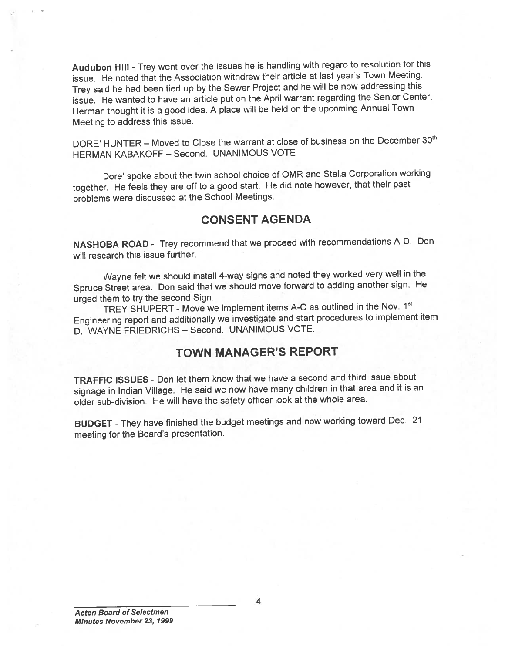Audubon Hill - Trey went over the issues he is handling with regard to resolution for this issue. He noted that the Association withdrew their article at last year's Town Meeting. Trey said he had been tied up by the Sewer Project and he will be now addressing this issue. He wanted to have an article pu<sup>t</sup> on the April warrant regarding the Senior Center. Herman thought it is <sup>a</sup> goo<sup>d</sup> idea. <sup>A</sup> <sup>p</sup>lace will be held on the upcoming Annual Town Meeting to address this issue.

DORE' HUNTER - Moved to Close the warrant at close of business on the December 30<sup>th</sup> HERMAN KABAKOFF — Second. UNANIMOUS VOTE

Dore' spoke about the twin school choice of OMR and Stella Corporation working together. He feels they are off to <sup>a</sup> goo<sup>d</sup> start. He did note however, that their pas<sup>t</sup> problems were discussed at the School Meetings.

# CONSENT AGENDA

NASHOBA ROAD - Trey recommend that we procee<sup>d</sup> with recommendations A-D. Don will research this issue further.

Wayne felt we should install 4-way signs and noted they worked very well in the Spruce Street area. Don said that we should move forward to adding another sign. He urge<sup>d</sup> them to try the second Sign.

TREY SHUPERT - Move we implement items A-C as outlined in the Nov. 1st Engineering repor<sup>t</sup> and additionally we investigate and start procedures to implement item D. WAYNE FRIEDRICHS - Second. UNANIMOUS VOTE.

# TOWN MANAGER'S REPORT

TRAFFIC ISSUES - Don let them know that we have <sup>a</sup> second and third issue about signage in Indian Village. He said we now have many children in that area and it is an older sub-division. He will have the safety officer look at the whole area.

BUDGET -They have finished the budget meetings and now working toward Dec. <sup>21</sup> meeting for the Board's presentation.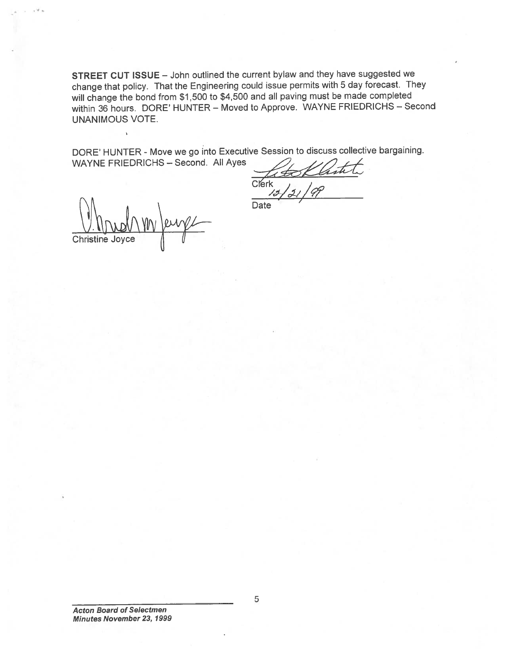STREET CUT ISSUE — John outlined the current bylaw and they have suggested we change that policy. That the Engineering could issue permits with <sup>5</sup> day forecast. They will change the bond from \$1,500 to \$4,500 and all paving must be made completed within <sup>36</sup> hours. DORE' HUNTER — Moved to Approve. WAYNE FRIEDRICHS — Second UNANIMOUS VOTE.

DORE' HUNTER - Move we go into Executive Session to discuss collective bargaining. WAYNE FRIEDRICHS — Second. All Ayes

Clerk **Date** 

Christine Joyce

Acton Board of Selectmen Minutes November 23, 1999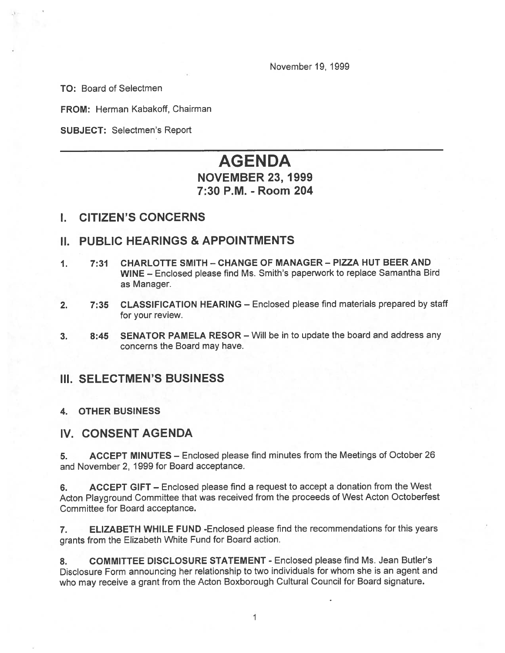November 19, 1999

TO: Board of Selectmen

FROM: Herman Kabakoff, Chairman

SUBJECT: Selectmen's Report

# AGENDA

# NOVEMBER 23, 1999 7:30 P.M. -Room 204

## I. CITIZEN'S CONCERNS

## II. PUBLIC HEARINGS & APPOINTMENTS

- 1. 7:31 CHARLOTTE SMITH CHANGE OF MANAGER PIZZA HUT BEER AND WINE — Enclosed <sup>p</sup>lease find Ms. Smith's paperwork to replace Samantha Bird as Manager.
- 2. 7:35 CLASSIFICATION HEARING Enclosed please find materials prepared by staff for your review.
- 3. 8:45 SENATOR PAMELA RESOR Will be in to update the board and address any concerns the Board may have.

## III. SELECTMEN'S BUSINESS

#### 4. OTHER BUSINESS

## IV. CONSENT AGENDA

5. ACCEPT MINUTES — Enclosed please find minutes from the Meetings of October 26 and November 2, 1999 for Board acceptance.

6. ACCEPT GIFT — Enclosed please find <sup>a</sup> reques<sup>t</sup> to accep<sup>t</sup> <sup>a</sup> donation from the West Acton Playground Committee that was received from the proceeds of West Acton Octoberfest Committee for Board acceptance.

7. ELIZABETH WHILE FUND -Enclosed please find the recommendations for this years grants from the Elizabeth White Fund for Board action.

8. COMMITTEE DISCLOSURE STATEMENT - Enclosed please find Ms. Jean Butler's Disclosure Form announcing her relationship to two individuals for whom she is an agen<sup>t</sup> and who may receive <sup>a</sup> gran<sup>t</sup> from the Acton Boxborough Cultural Council for Board signature.